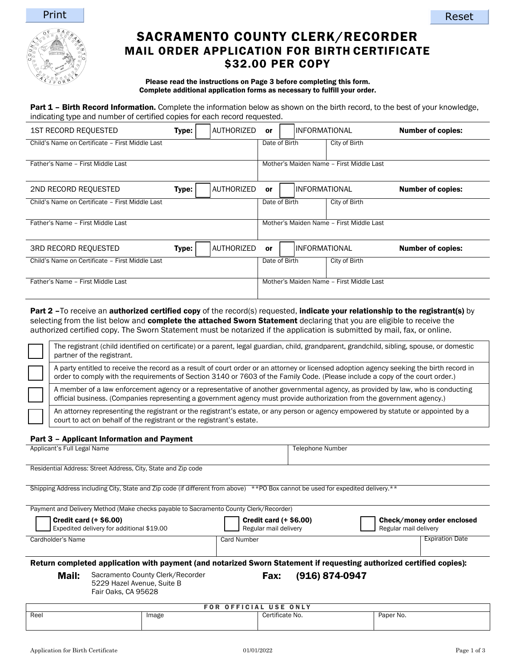



# SACRAMENTO COUNTY CLERK/RECORDER MAIL ORDER APPLICATION FOR BIRTH CERTIFICATE \$32.00 PER COPY

#### Please read the instructions on Page 3 before completing this form. Complete additional application forms as necessary to fulfill your order.

Part 1 - Birth Record Information. Complete the information below as shown on the birth record, to the best of your knowledge, indicating type and number of certified copies for each record requested.

| <b>1ST RECORD REQUESTED</b>                     | Type: | AUTHORIZED | 0r            | IINFORMATIONAL       |                                          | <b>Number of copies:</b> |
|-------------------------------------------------|-------|------------|---------------|----------------------|------------------------------------------|--------------------------|
| Child's Name on Certificate - First Middle Last |       |            | Date of Birth |                      | City of Birth                            |                          |
|                                                 |       |            |               |                      |                                          |                          |
| Father's Name - First Middle Last               |       |            |               |                      | Mother's Maiden Name - First Middle Last |                          |
|                                                 |       | AUTHORIZED |               |                      |                                          |                          |
| 2ND RECORD REQUESTED                            | Type: |            | or            | IINFORMATIONAL       |                                          | <b>Number of copies:</b> |
| Child's Name on Certificate - First Middle Last |       |            | Date of Birth |                      | City of Birth                            |                          |
|                                                 |       |            |               |                      |                                          |                          |
| Father's Name - First Middle Last               |       |            |               |                      | Mother's Maiden Name - First Middle Last |                          |
|                                                 |       |            |               |                      |                                          |                          |
| <b>3RD RECORD REQUESTED</b>                     | Type: | AUTHORIZED | <b>or</b>     | <b>INFORMATIONAL</b> |                                          | <b>Number of copies:</b> |
| Child's Name on Certificate - First Middle Last |       |            | Date of Birth |                      | City of Birth                            |                          |
|                                                 |       |            |               |                      |                                          |                          |
| Father's Name - First Middle Last               |       |            |               |                      | Mother's Maiden Name - First Middle Last |                          |
|                                                 |       |            |               |                      |                                          |                          |

Part 2 –To receive an authorized certified copy of the record(s) requested, indicate your relationship to the registrant(s) by selecting from the list below and complete the attached Sworn Statement declaring that you are eligible to receive the authorized certified copy. The Sworn Statement must be notarized if the application is submitted by mail, fax, or online.

The registrant (child identified on certificate) or a parent, legal guardian, child, grandparent, grandchild, sibling, spouse, or domestic partner of the registrant. A party entitled to receive the record as a result of court order or an attorney or licensed adoption agency seeking the birth record in order to comply with the requirements of Section 3140 or 7603 of the Family Code. (Please include a copy of the court order.) A member of a law enforcement agency or a representative of another governmental agency, as provided by law, who is conducting official business. (Companies representing a government agency must provide authorization from the government agency.)

An attorney representing the registrant or the registrant's estate, or any person or agency empowered by statute or appointed by a court to act on behalf of the registrant or the registrant's estate.

## Part 3 – Applicant Information and Payment

| Applicant's Full Legal Name                                   | <b>Telephone Number</b> |
|---------------------------------------------------------------|-------------------------|
|                                                               |                         |
| Residential Address: Street Address, City, State and Zip code |                         |

Shipping Address including City, State and Zip code (if different from above) \*\*PO Box cannot be used for expedited delivery.\*\*

|                   | Payment and Delivery Method (Make checks payable to Sacramento County Clerk/Recorder)                                |                                                        |                |                                                     |
|-------------------|----------------------------------------------------------------------------------------------------------------------|--------------------------------------------------------|----------------|-----------------------------------------------------|
|                   | <b>Credit card (+ \$6.00)</b><br>Expedited delivery for additional \$19.00                                           | <b>Credit card (+ \$6.00)</b><br>Regular mail delivery |                | Check/money order enclosed<br>Regular mail delivery |
| Cardholder's Name |                                                                                                                      | Card Number                                            |                | <b>Expiration Date</b>                              |
|                   | Return completed application with payment (and notarized Sworn Statement if requesting authorized certified copies): |                                                        |                |                                                     |
|                   |                                                                                                                      |                                                        |                |                                                     |
| Mail:             | Sacramento County Clerk/Recorder<br>5229 Hazel Avenue, Suite B<br>Fair Oaks, CA 95628                                | <b>Fax:</b>                                            | (916) 874-0947 |                                                     |

| FOR OFFICIAL USE ONLY |       |                 |           |
|-----------------------|-------|-----------------|-----------|
| Reel                  | Image | Certificate No. | Paper No. |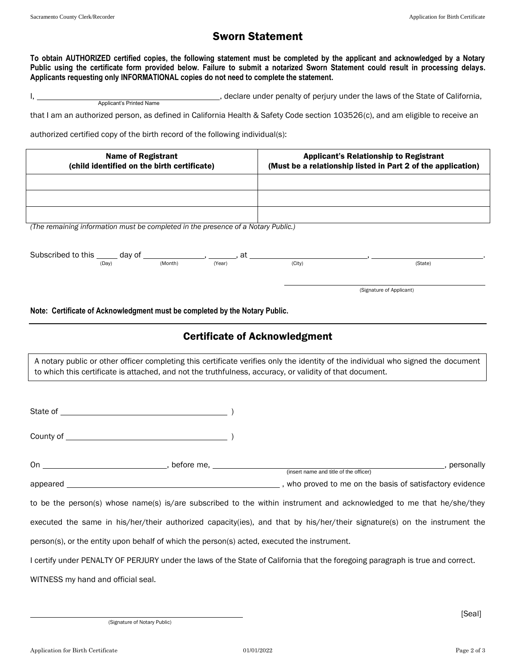# Sworn Statement

**To obtain AUTHORIZED certified copies, the following statement must be completed by the applicant and acknowledged by a Notary Public using the certificate form provided below. Failure to submit a notarized Sworn Statement could result in processing delays. Applicants requesting only INFORMATIONAL copies do not need to complete the statement.**

I, 1. All 2008 of the State of California, i.e. the State of California, i.e. the State of California, Applicant's Printed Name

that I am an authorized person, as defined in California Health & Safety Code section 103526(c), and am eligible to receive an

authorized certified copy of the birth record of the following individual(s):

| <b>Name of Registrant</b><br>(child identified on the birth certificate)                                     | <b>Applicant's Relationship to Registrant</b><br>(Must be a relationship listed in Part 2 of the application)                     |
|--------------------------------------------------------------------------------------------------------------|-----------------------------------------------------------------------------------------------------------------------------------|
|                                                                                                              |                                                                                                                                   |
| (The remaining information must be completed in the presence of a Notary Public.)                            |                                                                                                                                   |
| Subscribed to this $\frac{1}{(Day)}$ day of $\frac{1}{(Month)}$ , $\frac{1}{(Year)}$ , at $\frac{1}{(City)}$ | (State)                                                                                                                           |
|                                                                                                              | (Signature of Applicant)                                                                                                          |
| Note: Certificate of Acknowledgment must be completed by the Notary Public.                                  |                                                                                                                                   |
|                                                                                                              | <b>Certificate of Acknowledgment</b>                                                                                              |
| to which this certificate is attached, and not the truthfulness, accuracy, or validity of that document.     | A notary public or other officer completing this certificate verifies only the identity of the individual who signed the document |
|                                                                                                              |                                                                                                                                   |
|                                                                                                              |                                                                                                                                   |
|                                                                                                              | personally, personally                                                                                                            |
|                                                                                                              |                                                                                                                                   |
|                                                                                                              | to be the person(s) whose name(s) is/are subscribed to the within instrument and acknowledged to me that he/she/they              |
|                                                                                                              | executed the same in his/her/their authorized capacity(ies), and that by his/her/their signature(s) on the instrument the         |
| person(s), or the entity upon behalf of which the person(s) acted, executed the instrument.                  |                                                                                                                                   |
|                                                                                                              | I certify under PENALTY OF PERJURY under the laws of the State of California that the foregoing paragraph is true and correct.    |
| WITNESS my hand and official seal.                                                                           |                                                                                                                                   |

(Signature of Notary Public)

[Seal]